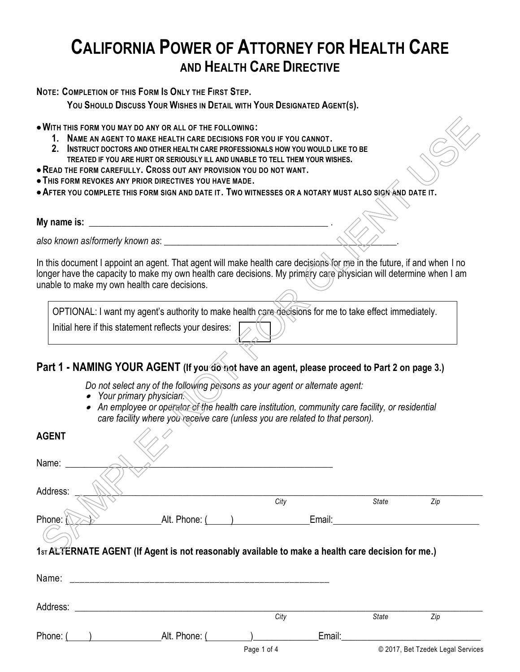# **CALIFORNIA POWER OF ATTORNEY FOR HEALTH CARE AND HEALTH CARE DIRECTIVE**

**NOTE: COMPLETION OF THIS FORM IS ONLY THE FIRST STEP.**

**YOU SHOULD DISCUSS YOUR WISHES IN DETAIL WITH YOUR DESIGNATED AGENT(S).**

- **1. NAME AN AGENT TO MAKE HEALTH CARE DECISIONS FOR YOU IF YOU CANNOT.**
- **2. INSTRUCT DOCTORS AND OTHER HEALTH CARE PROFESSIONALS HOW YOU WOULD LIKE TO BE TREATED IF YOU ARE HURT OR SERIOUSLY ILL AND UNABLE TO TELL THEM YOUR WISHES.**
- •**READ THE FORM CAREFULLY. CROSS OUT ANY PROVISION YOU DO NOT WANT.**
- **THIS FORM REVOKES ANY PRIOR DIRECTIVES YOU HAVE MADE.**
- •**AFTER YOU COMPLETE THIS FORM SIGN AND DATE IT. TWO WITNESSES OR A NOTARY MUST ALSO SIGN AND DATE IT.**

| My na<br>ıma ic+<br>15. |  |  |  |
|-------------------------|--|--|--|
|                         |  |  |  |

OPTIONAL: I want my agent's authority to make health care decisions for me to take effect immediately. Initial here if this statement reflects your desires:

# **Part 1 - NAMING YOUR AGENT (If you do not have an agent, please proceed to Part 2 on page 3.)**

- *Do not select any of the following persons as your agent or alternate agent:*
- *Your primary physician.*
- *An employee or operator of the health care institution, community care facility, or residential care facility where you receive care (unless you are related to that person).*

| 2.           | . WITH THIS FORM YOU MAY DO ANY OR ALL OF THE FOLLOWING:<br>NAME AN AGENT TO MAKE HEALTH CARE DECISIONS FOR YOU IF YOU CANNOT.<br>INSTRUCT DOCTORS AND OTHER HEALTH CARE PROFESSIONALS HOW YOU WOULD LIKE TO BE<br>TREATED IF YOU ARE HURT OR SERIOUSLY ILL AND UNABLE TO TELL THEM YOUR WISHES. |      |             |       |                                   |
|--------------|--------------------------------------------------------------------------------------------------------------------------------------------------------------------------------------------------------------------------------------------------------------------------------------------------|------|-------------|-------|-----------------------------------|
|              | • READ THE FORM CAREFULLY. CROSS OUT ANY PROVISION YOU DO NOT WANT.                                                                                                                                                                                                                              |      |             |       |                                   |
|              | . THIS FORM REVOKES ANY PRIOR DIRECTIVES YOU HAVE MADE.                                                                                                                                                                                                                                          |      |             |       |                                   |
|              | . AFTER YOU COMPLETE THIS FORM SIGN AND DATE IT. TWO WITNESSES OR A NOTARY MUST ALSO SIGN AND DATE IT.                                                                                                                                                                                           |      |             |       |                                   |
|              |                                                                                                                                                                                                                                                                                                  |      |             |       |                                   |
| My name is:  | <u> 1989 - Johann John Stone, mars an deus Amerikaansk kommunister (</u>                                                                                                                                                                                                                         |      |             |       |                                   |
|              |                                                                                                                                                                                                                                                                                                  |      |             |       |                                   |
|              | In this document I appoint an agent. That agent will make health care decisions for me in the future, if and when I no<br>longer have the capacity to make my own health care decisions. My primary care physician will determine when I am<br>unable to make my own health care decisions.      |      |             |       |                                   |
|              |                                                                                                                                                                                                                                                                                                  |      |             |       |                                   |
|              | OPTIONAL: I want my agent's authority to make health care decisions for me to take effect immediately.                                                                                                                                                                                           |      |             |       |                                   |
|              | Initial here if this statement reflects your desires:                                                                                                                                                                                                                                            |      |             |       |                                   |
|              | Part 1 - NAMING YOUR AGENT (If you do not have an agent, please proceed to Part 2 on page 3.)                                                                                                                                                                                                    |      |             |       |                                   |
| <b>AGENT</b> | Do not select any of the following persons as your agent or alternate agent:<br>Your primary physician.<br>An employee or operator of the health care institution, community care facility, or residential<br>care facility where you receive care (unless you are related to that person).      |      |             |       |                                   |
|              |                                                                                                                                                                                                                                                                                                  |      |             |       |                                   |
| Name:        |                                                                                                                                                                                                                                                                                                  |      |             |       |                                   |
| Address:     |                                                                                                                                                                                                                                                                                                  |      |             |       |                                   |
|              |                                                                                                                                                                                                                                                                                                  | City |             | State | Zip                               |
| Phone: K     | Alt. Phone: ( The Contract of Contract of Contract of Contract of Contract of Contract of Contract of Contract o                                                                                                                                                                                 |      |             |       |                                   |
|              |                                                                                                                                                                                                                                                                                                  |      |             |       |                                   |
|              | 1st ALTERNATE AGENT (If Agent is not reasonably available to make a health care decision for me.)                                                                                                                                                                                                |      |             |       |                                   |
|              |                                                                                                                                                                                                                                                                                                  |      |             |       |                                   |
|              |                                                                                                                                                                                                                                                                                                  |      |             |       |                                   |
|              |                                                                                                                                                                                                                                                                                                  |      |             |       |                                   |
|              |                                                                                                                                                                                                                                                                                                  |      |             |       |                                   |
|              |                                                                                                                                                                                                                                                                                                  | City |             | State | Zip                               |
|              | Phone: ( ) Alt. Phone: ( ) Channeled Email: Channeled Manual Alt. Phone: ( ) Channeled Manual Alt. 2014                                                                                                                                                                                          |      |             |       |                                   |
|              |                                                                                                                                                                                                                                                                                                  |      | Page 1 of 4 |       | © 2017, Bet Tzedek Legal Services |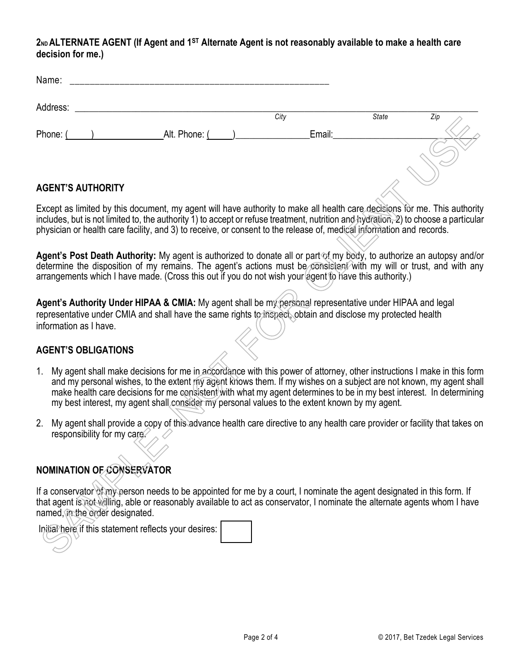#### **2ND ALTERNATE AGENT (If Agent and 1ST Alternate Agent is not reasonably available to make a health care decision for me.)**

|    | Name:                                                 |                                                                                                                                                                                                                                                                                                                                                                                                                                                                       |      |        |              |     |
|----|-------------------------------------------------------|-----------------------------------------------------------------------------------------------------------------------------------------------------------------------------------------------------------------------------------------------------------------------------------------------------------------------------------------------------------------------------------------------------------------------------------------------------------------------|------|--------|--------------|-----|
|    | Address:                                              |                                                                                                                                                                                                                                                                                                                                                                                                                                                                       |      |        |              |     |
|    |                                                       |                                                                                                                                                                                                                                                                                                                                                                                                                                                                       | City |        | <b>State</b> | Zip |
|    |                                                       | Phone: ( ) Alt. Phone: ( )                                                                                                                                                                                                                                                                                                                                                                                                                                            |      | Email: |              |     |
|    | <b>AGENT'S AUTHORITY</b>                              |                                                                                                                                                                                                                                                                                                                                                                                                                                                                       |      |        |              |     |
|    |                                                       |                                                                                                                                                                                                                                                                                                                                                                                                                                                                       |      |        |              |     |
|    |                                                       | Except as limited by this document, my agent will have authority to make all health care decisions for me. This authority<br>includes, but is not limited to, the authority 1) to accept or refuse treatment, nutrition and hydration, 2) to choose a particular<br>physician or health care facility, and 3) to receive, or consent to the release of, medical information and records.                                                                              |      |        |              |     |
|    |                                                       | Agent's Post Death Authority: My agent is authorized to donate all or part of my body, to authorize an autopsy and/or<br>determine the disposition of my remains. The agent's actions must be consistent with my will or trust, and with any<br>arrangements which I have made. (Cross this out if you do not wish your agent to have this authority.)                                                                                                                |      |        |              |     |
|    | information as I have.                                | Agent's Authority Under HIPAA & CMIA: My agent shall be my personal representative under HIPAA and legal<br>representative under CMIA and shall have the same rights to inspect, obtain and disclose my protected health                                                                                                                                                                                                                                              |      |        |              |     |
|    | <b>AGENT'S OBLIGATIONS</b>                            |                                                                                                                                                                                                                                                                                                                                                                                                                                                                       |      |        |              |     |
| 1. |                                                       | My agent shall make decisions for me in accordance with this power of attorney, other instructions I make in this form<br>and my personal wishes, to the extent my agent knows them. If my wishes on a subject are not known, my agent shall<br>make health care decisions for me consistent with what my agent determines to be in my best interest. In determining<br>my best interest, my agent shall consider my personal values to the extent known by my agent. |      |        |              |     |
| 2. | responsibility for my care.                           | My agent shall provide a copy of this advance health care directive to any health care provider or facility that takes on                                                                                                                                                                                                                                                                                                                                             |      |        |              |     |
|    | NOMINATION OF CONSERVATOR                             |                                                                                                                                                                                                                                                                                                                                                                                                                                                                       |      |        |              |     |
|    | named, in the order designated.                       | If a conservator of my person needs to be appointed for me by a court, I nominate the agent designated in this form. If<br>that agent is not willing, able or reasonably available to act as conservator, I nominate the alternate agents whom I have                                                                                                                                                                                                                 |      |        |              |     |
|    | Initial here if this statement reflects your desires: |                                                                                                                                                                                                                                                                                                                                                                                                                                                                       |      |        |              |     |

## **AGENT'S AUTHORITY**

#### **AGENT'S OBLIGATIONS**

- 1. My agent shall make decisions for me in accordance with this power of attorney, other instructions I make in this form and my personal wishes, to the extent my agent knows them. If my wishes on a subject are not known, my agent shall make health care decisions for me consistent with what my agent determines to be in my best interest. In determining my best interest, my agent shall consider my personal values to the extent known by my agent.
- 2. My agent shall provide a copy of this advance health care directive to any health care provider or facility that takes on responsibility for my care.

# **NOMINATION OF CONSERVATOR**

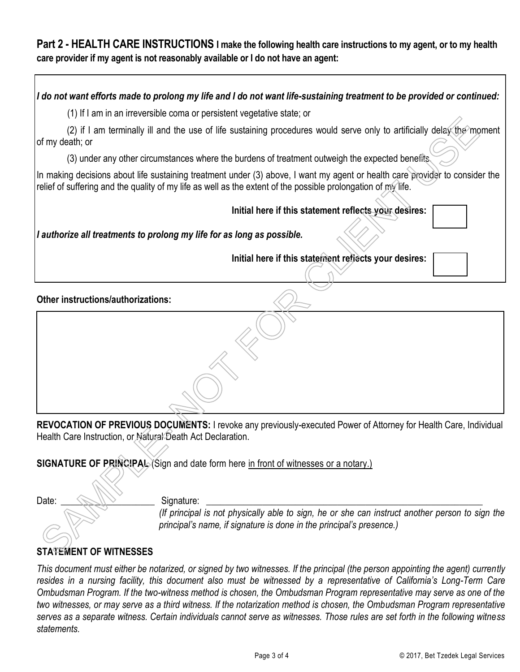# **Part 2 - HEALTH CARE INSTRUCTIONS I make the following health care instructions to my agent, or to my health care provider if my agent is not reasonably available or I do not have an agent:**

*I do not want efforts made to prolong my life and I do not want life-sustaining treatment to be provided or continued:*

(1) If I am in an irreversible coma or persistent vegetative state; or

(2) if I am terminally ill and the use of life sustaining procedures would serve only to artificially delay the moment of my death; or

(3) under any other circumstances where the burdens of treatment outweigh the expected benefits.

In making decisions about life sustaining treatment under (3) above, I want my agent or health care provider to consider the relief of suffering and the quality of my life as well as the extent of the possible prolongation of  $m$  life.

 **Initial here if this statement reflects your desires:** 

*I authorize all treatments to prolong my life for as long as possible.*

**Initial here if this statement reflects your desires:** 

**Other instructions/authorizations:** 

**REVOCATION OF PREVIOUS DOCUMENTS:** I revoke any previously-executed Power of Attorney for Health Care, Individual Health Care Instruction, or Natural Death Act Declaration. (2) if I am terminally ill and the use of life sustaining procedures would serve only to artificially delay the im<br>
(2) if I am terminally ill and the use of life sustaining procedures would serve only to artificially dela

**SIGNATURE OF PRINCIPAL** (Sign and date form here in front of witnesses or a notary.)

Date: \_\_\_\_\_\_\_\_\_\_\_\_\_\_\_\_\_\_\_\_ Signature: \_\_\_\_\_\_\_\_\_\_\_\_\_\_\_\_\_\_\_\_\_\_\_\_\_\_\_\_\_\_\_\_\_\_\_\_\_\_\_\_\_\_\_\_\_\_\_\_\_\_\_\_\_\_\_\_\_\_\_

*(If principal is not physically able to sign, he or she can instruct another person to sign the principal's name, if signature is done in the principal's presence.)*

# **STATEMENT OF WITNESSES**

*This document must either be notarized, or signed by two witnesses. If the principal (the person appointing the agent) currently resides in a nursing facility, this document also must be witnessed by a representative of California's Long-Term Care Ombudsman Program. If the two-witness method is chosen, the Ombudsman Program representative may serve as one of the two witnesses, or may serve as a third witness. If the notarization method is chosen, the Ombudsman Program representative serves as a separate witness. Certain individuals cannot serve as witnesses. Those rules are set forth in the following witness statements.*